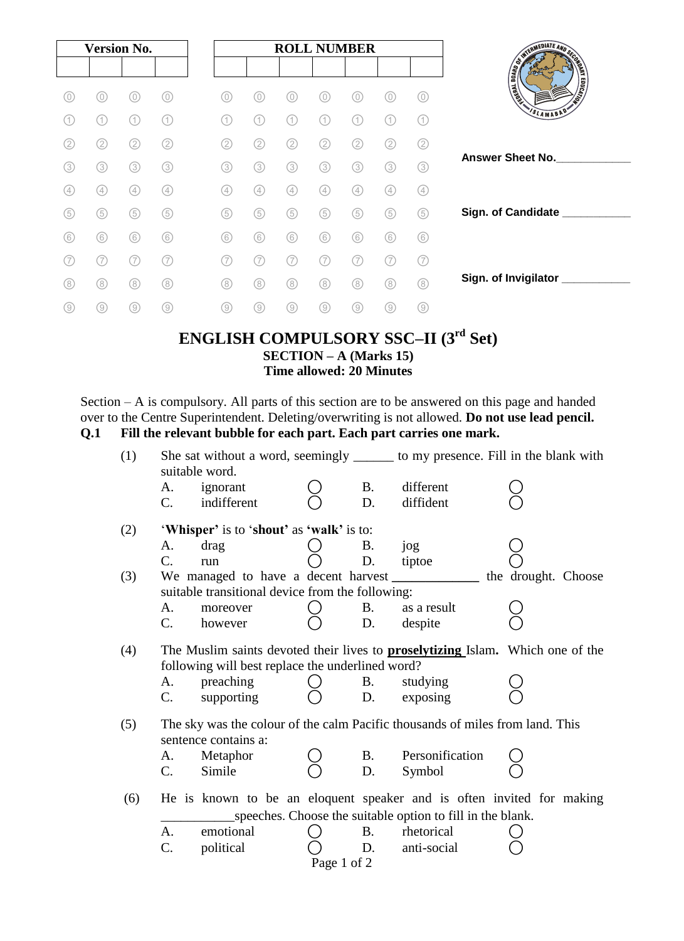| <b>Version No.</b> |                |     |     |  | <b>ROLL NUMBER</b> |                   |     |     |     |          |                  |                                                |  |  |
|--------------------|----------------|-----|-----|--|--------------------|-------------------|-----|-----|-----|----------|------------------|------------------------------------------------|--|--|
|                    |                |     |     |  |                    |                   |     |     |     |          |                  |                                                |  |  |
| 0)                 | (0)            | 0)  | (0) |  | 0)                 | 0)                | 0   | 0   | 0   | 0        | 0)               | <b>REGISTER AND REGISTER</b><br><b>TENSINE</b> |  |  |
|                    | (1)            | (1) | (1) |  |                    | (1)               | (1) | (1  |     | (1       | (1)              | SLAMABAD'                                      |  |  |
| (2)                | (2)            | (2) | (2) |  | 2                  | $\left( 2\right)$ | (2) | (2) | 2)  | $\rm(2)$ | $\rm(2)$         |                                                |  |  |
| (3)                | (3)            | (3) | (3) |  | (3)                | 3                 | (3) | (3) | (3) | (3)      | $\left(3\right)$ | <b>Answer Sheet No.</b>                        |  |  |
| (4)                | (4)            | (4) | (4) |  | (4)                | (4)               | (4) | (4) | (4) | (4)      | (4)              |                                                |  |  |
| (5)                | (5)            | (5) | 6   |  | (5)                | (5)               | (5) | (5) | (5) | (5)      | 5                | Sign. of Candidate ___                         |  |  |
| (6)                | (6)            | (6) | (6) |  | (6)                | (6)               | (6) | (6) | (6) | (6)      | (6)              |                                                |  |  |
|                    | (7             |     | (7  |  | 7                  | (7                | (7  | (7  |     |          | 7)               |                                                |  |  |
| (8)                | (8)            | (8) | (8) |  | (8)                | (8)               | (8) | (8) | (8) | (8)      | (8)              | Sign. of Invigilator                           |  |  |
| (9)                | $\circledcirc$ | (9) | (9) |  | (9)                | (9)               | (9) | 0   | (9) | (9)      | (9)              |                                                |  |  |

### **ENGLISH COMPULSORY SSC–II (3rd Set) SECTION – A (Marks 15) Time allowed: 20 Minutes**

Section – A is compulsory. All parts of this section are to be answered on this page and handed over to the Centre Superintendent. Deleting/overwriting is not allowed. **Do not use lead pencil. Q.1 Fill the relevant bubble for each part. Each part carries one mark.** 

| She sat without a word, seemingly ________ to my presence. Fill in the blank with<br>suitable word. |                        |           |                 |                                                                               |                                                                                                                                                                                                                                                              |  |  |
|-----------------------------------------------------------------------------------------------------|------------------------|-----------|-----------------|-------------------------------------------------------------------------------|--------------------------------------------------------------------------------------------------------------------------------------------------------------------------------------------------------------------------------------------------------------|--|--|
| A.                                                                                                  | ignorant               |           | <b>B.</b>       | different                                                                     |                                                                                                                                                                                                                                                              |  |  |
| C.                                                                                                  | indifferent            |           | D.              | diffident                                                                     |                                                                                                                                                                                                                                                              |  |  |
|                                                                                                     |                        |           |                 |                                                                               |                                                                                                                                                                                                                                                              |  |  |
| А.                                                                                                  | drag                   |           | В.              | jog                                                                           |                                                                                                                                                                                                                                                              |  |  |
| C.                                                                                                  | run                    |           | D.              | tiptoe                                                                        |                                                                                                                                                                                                                                                              |  |  |
|                                                                                                     |                        |           |                 |                                                                               | the drought. Choose                                                                                                                                                                                                                                          |  |  |
|                                                                                                     |                        |           |                 |                                                                               |                                                                                                                                                                                                                                                              |  |  |
| A.                                                                                                  | moreover               |           | <b>B.</b>       | as a result                                                                   |                                                                                                                                                                                                                                                              |  |  |
| $C_{\cdot}$                                                                                         | however                |           | D.              | despite                                                                       |                                                                                                                                                                                                                                                              |  |  |
|                                                                                                     |                        |           |                 |                                                                               |                                                                                                                                                                                                                                                              |  |  |
|                                                                                                     |                        |           |                 |                                                                               |                                                                                                                                                                                                                                                              |  |  |
|                                                                                                     |                        |           | D.              |                                                                               |                                                                                                                                                                                                                                                              |  |  |
|                                                                                                     |                        |           |                 |                                                                               |                                                                                                                                                                                                                                                              |  |  |
|                                                                                                     |                        |           |                 |                                                                               |                                                                                                                                                                                                                                                              |  |  |
|                                                                                                     |                        |           |                 | The sky was the colour of the calm Pacific thousands of miles from land. This |                                                                                                                                                                                                                                                              |  |  |
|                                                                                                     | sentence contains a:   |           |                 |                                                                               |                                                                                                                                                                                                                                                              |  |  |
| А.<br>$C_{\cdot}$                                                                                   | Metaphor<br>Simile     |           | <b>B.</b><br>D. | Personification<br>Symbol                                                     |                                                                                                                                                                                                                                                              |  |  |
|                                                                                                     |                        |           |                 |                                                                               |                                                                                                                                                                                                                                                              |  |  |
|                                                                                                     |                        |           |                 | He is known to be an eloquent speaker and is often invited for making         |                                                                                                                                                                                                                                                              |  |  |
|                                                                                                     |                        |           |                 | speeches. Choose the suitable option to fill in the blank.                    |                                                                                                                                                                                                                                                              |  |  |
| А.<br>C.                                                                                            | emotional<br>political |           | <b>B.</b><br>D. | rhetorical<br>anti-social                                                     |                                                                                                                                                                                                                                                              |  |  |
|                                                                                                     | A.                     | preaching | C.              | 'Whisper' is to 'shout' as 'walk' is to:<br><b>B.</b><br>supporting           | We managed to have a decent harvest<br>suitable transitional device from the following:<br>The Muslim saints devoted their lives to <b>proselytizing</b> Islam. Which one of the<br>following will best replace the underlined word?<br>studying<br>exposing |  |  |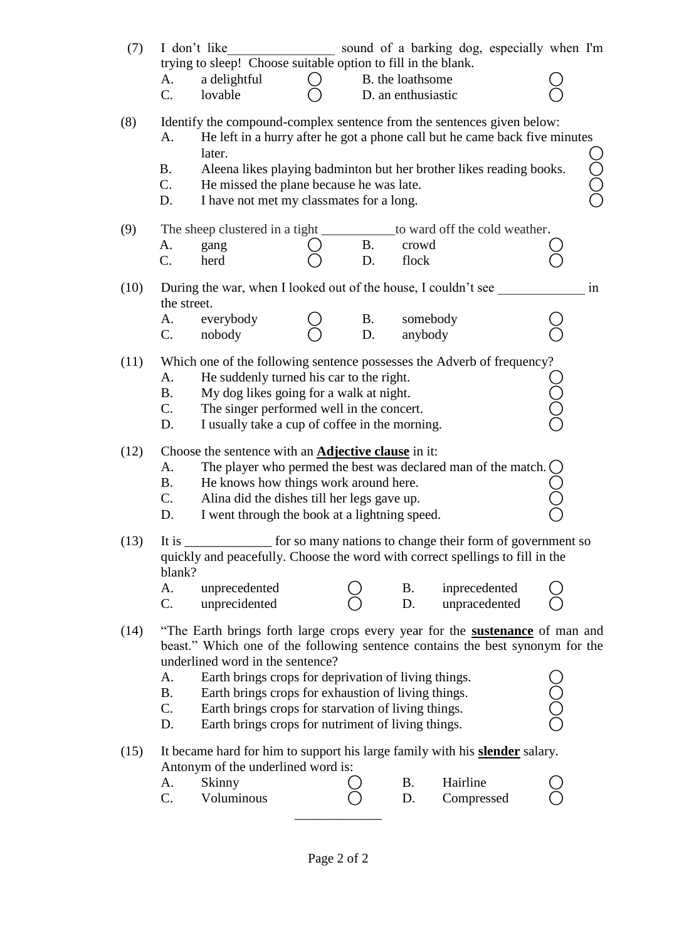| (7)  | sound of a barking dog, especially when I'm<br>I don't like<br>trying to sleep! Choose suitable option to fill in the blank. |                                                                                                                                                                                                                                                                                                                               |  |           |                    |               |                                                           |                  |     |  |  |
|------|------------------------------------------------------------------------------------------------------------------------------|-------------------------------------------------------------------------------------------------------------------------------------------------------------------------------------------------------------------------------------------------------------------------------------------------------------------------------|--|-----------|--------------------|---------------|-----------------------------------------------------------|------------------|-----|--|--|
|      | A.                                                                                                                           | a delightful                                                                                                                                                                                                                                                                                                                  |  |           | B. the loathsome   |               |                                                           |                  |     |  |  |
|      | $C_{\cdot}$                                                                                                                  | lovable                                                                                                                                                                                                                                                                                                                       |  |           | D. an enthusiastic |               |                                                           |                  |     |  |  |
| (8)  | A.<br><b>B.</b><br>$C_{\cdot}$<br>D.                                                                                         | Identify the compound-complex sentence from the sentences given below:<br>He left in a hurry after he got a phone call but he came back five minutes<br>later.<br>Aleena likes playing badminton but her brother likes reading books.<br>He missed the plane because he was late.<br>I have not met my classmates for a long. |  |           |                    |               |                                                           |                  | ŏOC |  |  |
| (9)  |                                                                                                                              | The sheep clustered in a tight                                                                                                                                                                                                                                                                                                |  |           |                    |               | to ward off the cold weather.                             |                  |     |  |  |
|      | A.                                                                                                                           | gang                                                                                                                                                                                                                                                                                                                          |  | <b>B.</b> | crowd              |               |                                                           |                  |     |  |  |
|      | $C_{\cdot}$                                                                                                                  | herd                                                                                                                                                                                                                                                                                                                          |  | D.        | flock              |               |                                                           |                  |     |  |  |
| (10) | the street.                                                                                                                  | During the war, when I looked out of the house, I couldn't see                                                                                                                                                                                                                                                                |  |           |                    |               |                                                           |                  | in  |  |  |
|      | А.                                                                                                                           | everybody                                                                                                                                                                                                                                                                                                                     |  | <b>B.</b> | somebody           |               |                                                           |                  |     |  |  |
|      | $C_{\cdot}$                                                                                                                  | nobody                                                                                                                                                                                                                                                                                                                        |  | D.        | anybody            |               |                                                           |                  |     |  |  |
| (11) |                                                                                                                              | Which one of the following sentence possesses the Adverb of frequency?                                                                                                                                                                                                                                                        |  |           |                    |               |                                                           |                  |     |  |  |
|      | A.<br><b>B.</b>                                                                                                              | He suddenly turned his car to the right.                                                                                                                                                                                                                                                                                      |  |           |                    |               |                                                           |                  |     |  |  |
|      | $C$ .                                                                                                                        | Ŏ<br>O<br>My dog likes going for a walk at night.<br>The singer performed well in the concert.                                                                                                                                                                                                                                |  |           |                    |               |                                                           |                  |     |  |  |
|      | D.                                                                                                                           | I usually take a cup of coffee in the morning.                                                                                                                                                                                                                                                                                |  |           |                    |               |                                                           |                  |     |  |  |
| (12) |                                                                                                                              | Choose the sentence with an <b>Adjective clause</b> in it:                                                                                                                                                                                                                                                                    |  |           |                    |               |                                                           |                  |     |  |  |
|      | A.                                                                                                                           | The player who permed the best was declared man of the match.                                                                                                                                                                                                                                                                 |  |           |                    |               |                                                           | $\left( \right)$ |     |  |  |
|      | <b>B.</b>                                                                                                                    | He knows how things work around here.                                                                                                                                                                                                                                                                                         |  |           |                    |               |                                                           |                  |     |  |  |
|      | $C_{\cdot}$<br>D.                                                                                                            | Alina did the dishes till her legs gave up.<br>I went through the book at a lightning speed.                                                                                                                                                                                                                                  |  |           |                    |               |                                                           |                  |     |  |  |
|      |                                                                                                                              |                                                                                                                                                                                                                                                                                                                               |  |           |                    |               |                                                           |                  |     |  |  |
| (13) | It is<br>blank?                                                                                                              | quickly and peacefully. Choose the word with correct spellings to fill in the                                                                                                                                                                                                                                                 |  |           |                    |               | for so many nations to change their form of government so |                  |     |  |  |
|      | А.                                                                                                                           | unprecedented                                                                                                                                                                                                                                                                                                                 |  |           | B.                 | inprecedented |                                                           |                  |     |  |  |
|      | C.                                                                                                                           | unprecidented                                                                                                                                                                                                                                                                                                                 |  |           | D.                 | unpracedented |                                                           |                  |     |  |  |
| (14) |                                                                                                                              | "The Earth brings forth large crops every year for the <b>sustenance</b> of man and<br>beast." Which one of the following sentence contains the best synonym for the<br>underlined word in the sentence?                                                                                                                      |  |           |                    |               |                                                           |                  |     |  |  |
|      | A.                                                                                                                           | Earth brings crops for deprivation of living things.                                                                                                                                                                                                                                                                          |  |           |                    |               |                                                           |                  |     |  |  |
|      | <b>B.</b>                                                                                                                    | Earth brings crops for exhaustion of living things.                                                                                                                                                                                                                                                                           |  |           |                    |               |                                                           |                  |     |  |  |
|      | C.<br>D.                                                                                                                     | Earth brings crops for starvation of living things.<br>Earth brings crops for nutriment of living things.                                                                                                                                                                                                                     |  |           |                    |               |                                                           | Ŏ<br>O           |     |  |  |
| (15) |                                                                                                                              | It became hard for him to support his large family with his <b>slender</b> salary.<br>Antonym of the underlined word is:                                                                                                                                                                                                      |  |           |                    |               |                                                           |                  |     |  |  |
|      | A.                                                                                                                           | Skinny                                                                                                                                                                                                                                                                                                                        |  |           | В.                 | Hairline      |                                                           |                  |     |  |  |
|      | C.                                                                                                                           | Voluminous                                                                                                                                                                                                                                                                                                                    |  |           | D.                 | Compressed    |                                                           |                  |     |  |  |
|      |                                                                                                                              |                                                                                                                                                                                                                                                                                                                               |  |           |                    |               |                                                           |                  |     |  |  |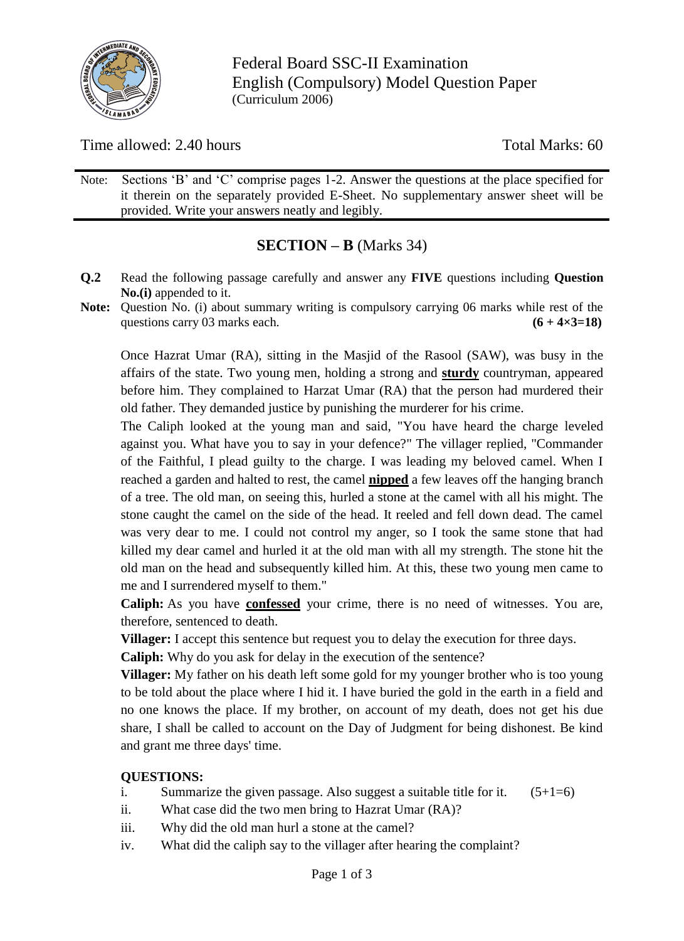

Federal Board SSC-II Examination English (Compulsory) Model Question Paper (Curriculum 2006)

Time allowed: 2.40 hours Total Marks: 60

Note: Sections 'B' and 'C' comprise pages 1-2. Answer the questions at the place specified for it therein on the separately provided E-Sheet. No supplementary answer sheet will be provided. Write your answers neatly and legibly.

### **SECTION – B** (Marks 34)

- **Q.2** Read the following passage carefully and answer any **FIVE** questions including **Question No.(i)** appended to it.
- **Note:** Question No. (i) about summary writing is compulsory carrying 06 marks while rest of the questions carry 03 marks each.  $(6 + 4 \times 3 = 18)$

Once Hazrat Umar (RA), sitting in the Masjid of the Rasool (SAW), was busy in the affairs of the state. Two young men, holding a strong and **sturdy** countryman, appeared before him. They complained to Harzat Umar (RA) that the person had murdered their old father. They demanded justice by punishing the murderer for his crime.

The Caliph looked at the young man and said, "You have heard the charge leveled against you. What have you to say in your defence?" The villager replied, "Commander of the Faithful, I plead guilty to the charge. I was leading my beloved camel. When I reached a garden and halted to rest, the camel **nipped** a few leaves off the hanging branch of a tree. The old man, on seeing this, hurled a stone at the camel with all his might. The stone caught the camel on the side of the head. It reeled and fell down dead. The camel was very dear to me. I could not control my anger, so I took the same stone that had killed my dear camel and hurled it at the old man with all my strength. The stone hit the old man on the head and subsequently killed him. At this, these two young men came to me and I surrendered myself to them."

**Caliph:** As you have **confessed** your crime, there is no need of witnesses. You are, therefore, sentenced to death.

**Villager:** I accept this sentence but request you to delay the execution for three days.

**Caliph:** Why do you ask for delay in the execution of the sentence?

**Villager:** My father on his death left some gold for my younger brother who is too young to be told about the place where I hid it. I have buried the gold in the earth in a field and no one knows the place. If my brother, on account of my death, does not get his due share, I shall be called to account on the Day of Judgment for being dishonest. Be kind and grant me three days' time.

### **QUESTIONS:**

- i. Summarize the given passage. Also suggest a suitable title for it.  $(5+1=6)$
- ii. What case did the two men bring to Hazrat Umar (RA)?
- iii. Why did the old man hurl a stone at the camel?
- iv. What did the caliph say to the villager after hearing the complaint?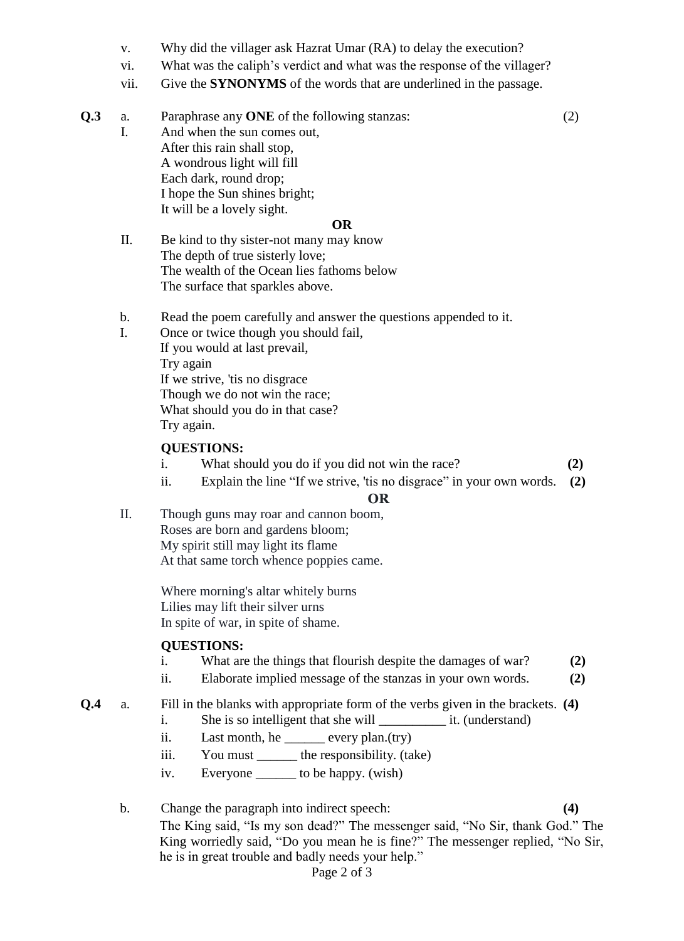- v. Why did the villager ask Hazrat Umar (RA) to delay the execution?
- vi. What was the caliph"s verdict and what was the response of the villager?
- vii. Give the **SYNONYMS** of the words that are underlined in the passage.
- **Q.3** a. Paraphrase any **ONE** of the following stanzas: (2) I. And when the sun comes out, After this rain shall stop, A wondrous light will fill Each dark, round drop; I hope the Sun shines bright; It will be a lovely sight. **OR**
	- II. Be kind to thy sister-not many may know The depth of true sisterly love; The wealth of the Ocean lies fathoms below The surface that sparkles above.
		- b. Read the poem carefully and answer the questions appended to it.
		- I. Once or twice though you should fail, If you would at last prevail, Try again If we strive, 'tis no disgrace Though we do not win the race; What should you do in that case? Try again.

#### **QUESTIONS:**

- i. What should you do if you did not win the race? **(2)**
- ii. Explain the line "If we strive, 'tis no disgrace" in your own words. **(2)**

#### **OR**

II. Though guns may roar and cannon boom, Roses are born and gardens bloom; My spirit still may light its flame At that same torch whence poppies came.

> Where morning's altar whitely burns Lilies may lift their silver urns In spite of war, in spite of shame.

#### **QUESTIONS:**

- i. What are the things that flourish despite the damages of war? **(2)**
- ii. Elaborate implied message of the stanzas in your own words. **(2)**
- **Q.4** a. Fill in the blanks with appropriate form of the verbs given in the brackets. **(4)** i. She is so intelligent that she will \_\_\_\_\_\_\_\_\_\_\_\_\_\_ it. (understand)
	- ii. Last month, he \_\_\_\_\_\_\_ every plan.(try)
	- iii. You must \_\_\_\_\_\_\_ the responsibility. (take)
	- iv. Everyone \_\_\_\_\_\_ to be happy. (wish)
	- b. Change the paragraph into indirect speech: **(4)** The King said, "Is my son dead?" The messenger said, "No Sir, thank God." The King worriedly said, "Do you mean he is fine?" The messenger replied, "No Sir, he is in great trouble and badly needs your help."

#### Page 2 of 3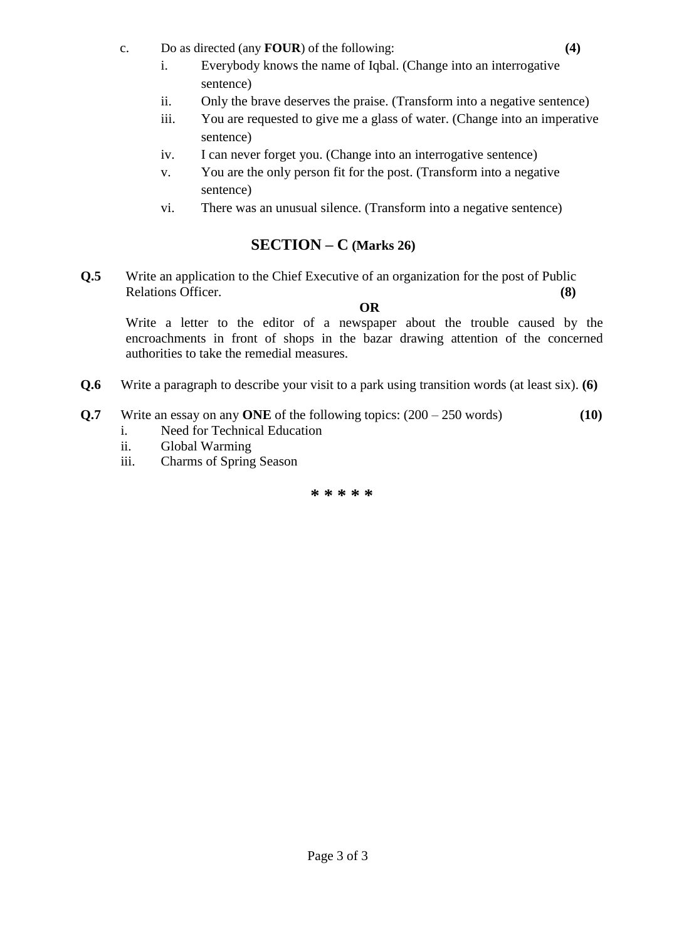- c. Do as directed (any **FOUR**) of the following: **(4)**
	- i. Everybody knows the name of Iqbal. (Change into an interrogative sentence)
	- ii. Only the brave deserves the praise. (Transform into a negative sentence)
	- iii. You are requested to give me a glass of water. (Change into an imperative sentence)
	- iv. I can never forget you. (Change into an interrogative sentence)
	- v. You are the only person fit for the post. (Transform into a negative sentence)
	- vi. There was an unusual silence. (Transform into a negative sentence)

### **SECTION – C (Marks 26)**

**Q.5** Write an application to the Chief Executive of an organization for the post of Public Relations Officer. **(8)** 

**OR**

Write a letter to the editor of a newspaper about the trouble caused by the encroachments in front of shops in the bazar drawing attention of the concerned authorities to take the remedial measures.

- **Q.6** Write a paragraph to describe your visit to a park using transition words (at least six). **(6)**
- **Q.7** Write an essay on any **ONE** of the following topics: (200 250 words) **(10)**
	- i. Need for Technical Education
	- ii. Global Warming
	- iii. Charms of Spring Season

**\* \* \* \* \***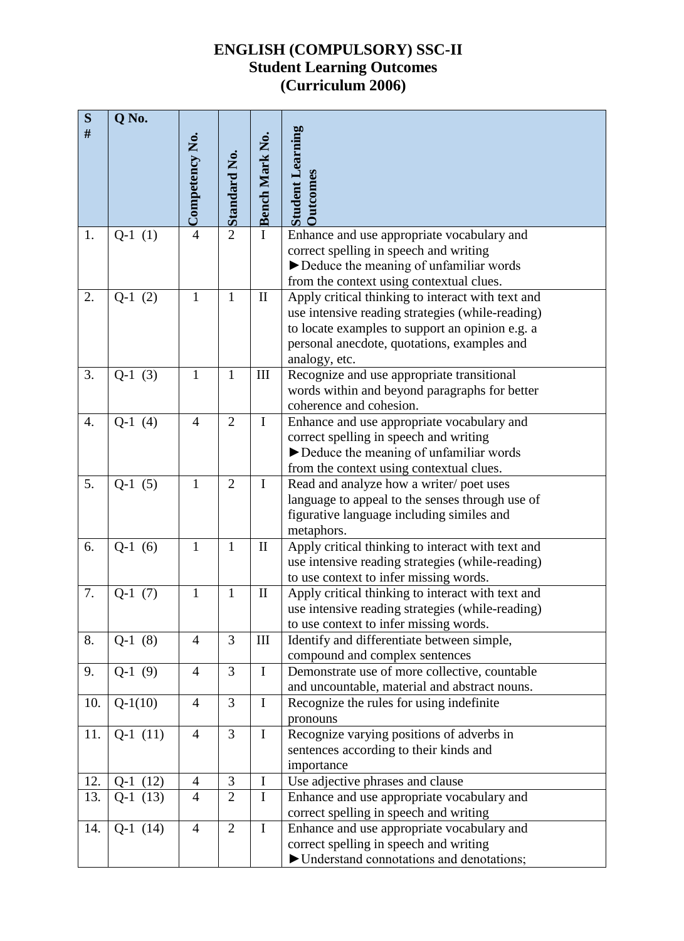# **ENGLISH (COMPULSORY) SSC-II Student Learning Outcomes (Curriculum 2006)**

| ${\bf S}$<br>$\#$ | Q No.      |                       |                     |                            |                                                             |
|-------------------|------------|-----------------------|---------------------|----------------------------|-------------------------------------------------------------|
|                   |            | $\sim$ Competency No. |                     | -Bench Mark No.            | <b>Student Learning</b>                                     |
|                   |            |                       | $\sim$ Standard No. |                            |                                                             |
|                   |            |                       |                     |                            |                                                             |
|                   |            |                       |                     |                            | <b>Outcomes</b>                                             |
| 1.                | $Q-1(1)$   |                       |                     |                            | Enhance and use appropriate vocabulary and                  |
|                   |            |                       |                     |                            | correct spelling in speech and writing                      |
|                   |            |                       |                     |                            | Deduce the meaning of unfamiliar words                      |
|                   |            |                       |                     |                            | from the context using contextual clues.                    |
| 2.                | $Q-1(2)$   | $\mathbf{1}$          | $\mathbf{1}$        | $\mathop{\rm II}\nolimits$ | Apply critical thinking to interact with text and           |
|                   |            |                       |                     |                            | use intensive reading strategies (while-reading)            |
|                   |            |                       |                     |                            | to locate examples to support an opinion e.g. a             |
|                   |            |                       |                     |                            | personal anecdote, quotations, examples and                 |
| 3.                | $Q-1(3)$   | $\mathbf{1}$          | $\mathbf{1}$        | Ш                          | analogy, etc.<br>Recognize and use appropriate transitional |
|                   |            |                       |                     |                            | words within and beyond paragraphs for better               |
|                   |            |                       |                     |                            | coherence and cohesion.                                     |
| 4.                | $Q-1(4)$   | $\overline{4}$        | $\overline{2}$      | $\mathbf I$                | Enhance and use appropriate vocabulary and                  |
|                   |            |                       |                     |                            | correct spelling in speech and writing                      |
|                   |            |                       |                     |                            | Deduce the meaning of unfamiliar words                      |
|                   |            |                       |                     |                            | from the context using contextual clues.                    |
| 5.                | $Q-1(5)$   | $\mathbf{1}$          | $\overline{2}$      | $\mathbf I$                | Read and analyze how a writer/poet uses                     |
|                   |            |                       |                     |                            | language to appeal to the senses through use of             |
|                   |            |                       |                     |                            | figurative language including similes and                   |
|                   |            |                       |                     |                            | metaphors.                                                  |
| 6.                | $Q-1(6)$   | $\mathbf{1}$          | $\mathbf{1}$        | $\mathbf{I}$               | Apply critical thinking to interact with text and           |
|                   |            |                       |                     |                            | use intensive reading strategies (while-reading)            |
|                   |            |                       |                     |                            | to use context to infer missing words.                      |
| 7.                | $Q-1(7)$   | $\mathbf{1}$          | $\mathbf{1}$        | $\mathbf{I}$               | Apply critical thinking to interact with text and           |
|                   |            |                       |                     |                            | use intensive reading strategies (while-reading)            |
|                   |            |                       |                     |                            | to use context to infer missing words.                      |
| 8.                | $Q-1(8)$   | $\overline{4}$        | 3                   | $\mathop{\rm III}$         | Identify and differentiate between simple,                  |
|                   |            |                       |                     |                            | compound and complex sentences                              |
| 9.                | $Q-1(9)$   | $\overline{4}$        | 3                   | $\mathbf I$                | Demonstrate use of more collective, countable               |
| 10.               | $Q-1(10)$  | $\overline{4}$        | 3                   | $\bf{I}$                   | and uncountable, material and abstract nouns.               |
|                   |            |                       |                     |                            | Recognize the rules for using indefinite<br>pronouns        |
| 11.               | $Q-1(11)$  | $\overline{4}$        | $\overline{3}$      | $\mathbf I$                | Recognize varying positions of adverbs in                   |
|                   |            |                       |                     |                            | sentences according to their kinds and                      |
|                   |            |                       |                     |                            | importance                                                  |
| 12.               | $Q-1(12)$  | $\overline{4}$        | 3                   | $\bf I$                    | Use adjective phrases and clause                            |
| 13.               | $Q-1(13)$  | $\overline{4}$        | $\overline{2}$      | $\mathbf I$                | Enhance and use appropriate vocabulary and                  |
|                   |            |                       |                     |                            | correct spelling in speech and writing                      |
| 14.               | $Q-1$ (14) | $\overline{4}$        | $\overline{2}$      | $\mathbf I$                | Enhance and use appropriate vocabulary and                  |
|                   |            |                       |                     |                            | correct spelling in speech and writing                      |
|                   |            |                       |                     |                            | Understand connotations and denotations;                    |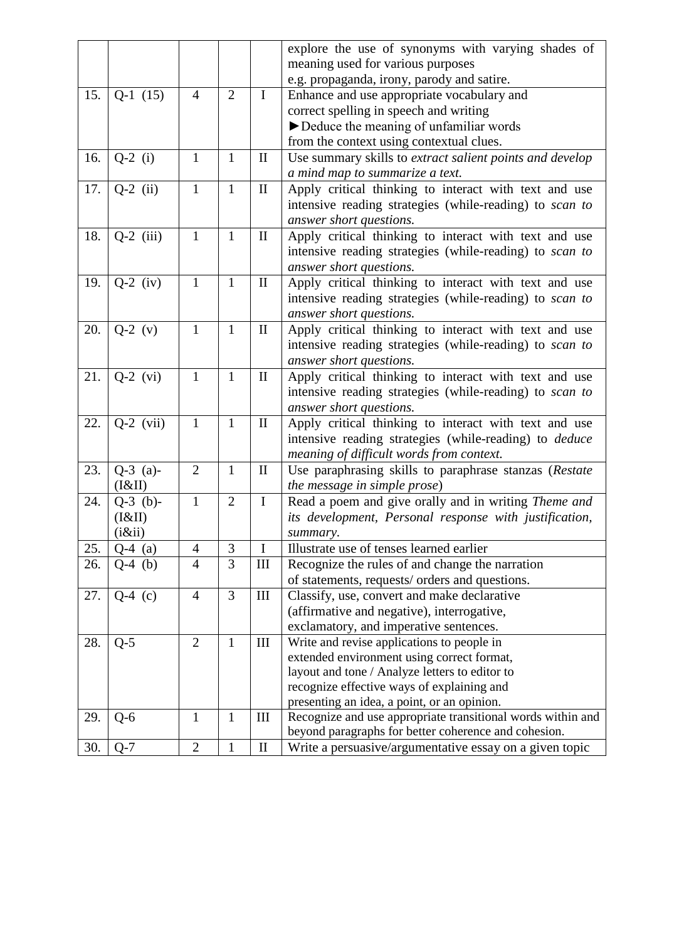|     |             |                |                |              | explore the use of synonyms with varying shades of            |
|-----|-------------|----------------|----------------|--------------|---------------------------------------------------------------|
|     |             |                |                |              | meaning used for various purposes                             |
|     |             |                |                |              | e.g. propaganda, irony, parody and satire.                    |
| 15. | $Q-1$ (15)  | 4              | $\overline{2}$ | $\bf{I}$     | Enhance and use appropriate vocabulary and                    |
|     |             |                |                |              | correct spelling in speech and writing                        |
|     |             |                |                |              | Deduce the meaning of unfamiliar words                        |
|     |             |                |                |              | from the context using contextual clues.                      |
| 16. | $Q-2$ (i)   | $\mathbf{1}$   | $\mathbf{1}$   | $\mathbf{I}$ | Use summary skills to extract salient points and develop      |
|     |             |                |                |              | a mind map to summarize a text.                               |
| 17. | $Q-2$ (ii)  | $\mathbf{1}$   | $\mathbf{1}$   | $\mathbf{I}$ | Apply critical thinking to interact with text and use         |
|     |             |                |                |              | intensive reading strategies (while-reading) to scan to       |
|     |             |                |                |              | answer short questions.                                       |
| 18. | $Q-2$ (iii) | $\mathbf{1}$   | $\mathbf{1}$   | $\mathbf{I}$ | Apply critical thinking to interact with text and use         |
|     |             |                |                |              | intensive reading strategies (while-reading) to scan to       |
|     |             |                |                |              | answer short questions.                                       |
| 19. | $Q-2$ (iv)  | $\mathbf{1}$   | $\mathbf{1}$   | $\mathbf{I}$ | Apply critical thinking to interact with text and use         |
|     |             |                |                |              | intensive reading strategies (while-reading) to scan to       |
|     |             |                |                |              | answer short questions.                                       |
| 20. | $Q-2$ (v)   | $\mathbf{1}$   | $\mathbf{1}$   | $\mathbf{I}$ | Apply critical thinking to interact with text and use         |
|     |             |                |                |              | intensive reading strategies (while-reading) to scan to       |
|     |             |                |                |              | answer short questions.                                       |
| 21. | $Q-2$ (vi)  | $\mathbf{1}$   | $\mathbf{1}$   | П            | Apply critical thinking to interact with text and use         |
|     |             |                |                |              | intensive reading strategies (while-reading) to scan to       |
|     |             |                |                |              | answer short questions.                                       |
| 22. | $Q-2$ (vii) | $\mathbf{1}$   | $\mathbf{1}$   | $\mathbf{I}$ | Apply critical thinking to interact with text and use         |
|     |             |                |                |              | intensive reading strategies (while-reading) to <i>deduce</i> |
|     |             |                |                |              | meaning of difficult words from context.                      |
| 23. | $Q-3$ (a)-  | $\overline{2}$ | $\mathbf{1}$   | $\rm II$     | Use paraphrasing skills to paraphrase stanzas (Restate        |
|     | (I&II)      |                |                |              | the message in simple prose)                                  |
| 24. | $Q-3$ (b)-  | $\mathbf{1}$   | $\overline{2}$ | $\mathbf I$  | Read a poem and give orally and in writing Theme and          |
|     | (I&II)      |                |                |              | its development, Personal response with justification,        |
|     | (i ⅈ)       |                |                |              | summary.                                                      |
| 25. | $Q-4$ (a)   | $\overline{4}$ | 3              | $\rm I$      | Illustrate use of tenses learned earlier                      |
| 26. | (b)<br>Q-4  | 4              | 3              | Ш            | Recognize the rules of and change the narration               |
|     |             |                |                |              | of statements, requests/orders and questions.                 |
| 27. | $Q-4$ (c)   | $\overline{4}$ | 3              | $\rm III$    | Classify, use, convert and make declarative                   |
|     |             |                |                |              | (affirmative and negative), interrogative,                    |
|     |             |                |                |              | exclamatory, and imperative sentences.                        |
| 28. | $Q-5$       | $\overline{2}$ | $\mathbf{1}$   | $\rm III$    | Write and revise applications to people in                    |
|     |             |                |                |              | extended environment using correct format,                    |
|     |             |                |                |              | layout and tone / Analyze letters to editor to                |
|     |             |                |                |              | recognize effective ways of explaining and                    |
|     |             |                |                |              | presenting an idea, a point, or an opinion.                   |
| 29. | $Q-6$       | $\mathbf{1}$   | $\mathbf{1}$   | III          | Recognize and use appropriate transitional words within and   |
|     |             |                |                |              | beyond paragraphs for better coherence and cohesion.          |
| 30. | $Q-7$       | $\overline{2}$ | $\mathbf{1}$   | $\mathbf{I}$ | Write a persuasive/argumentative essay on a given topic       |